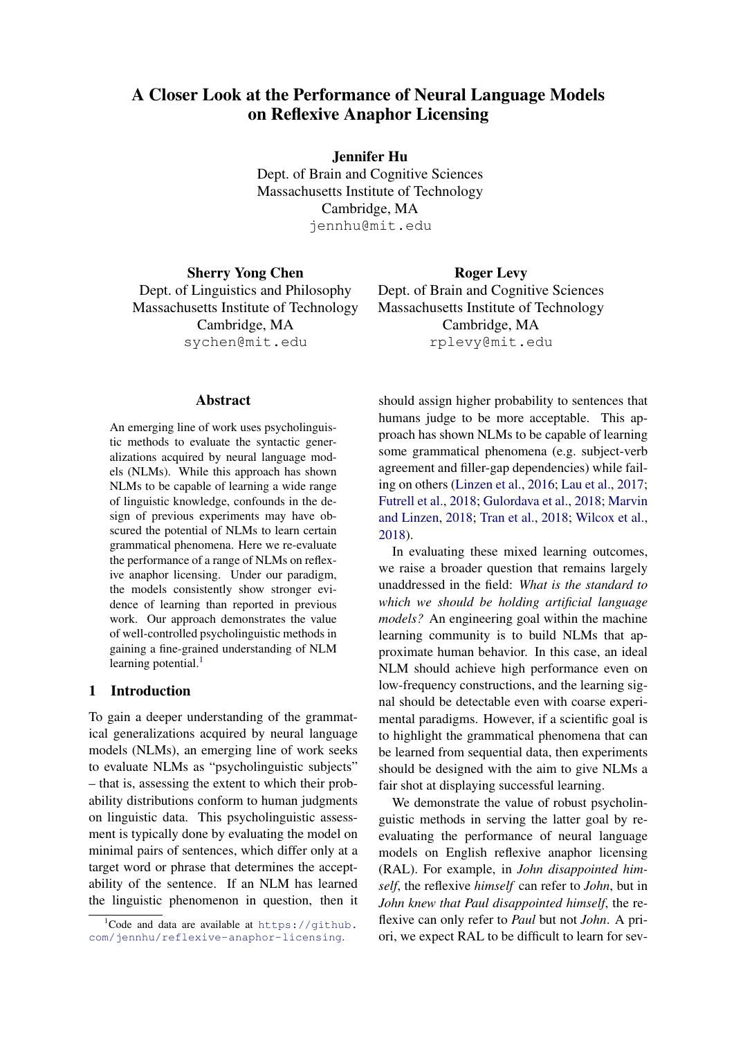# A Closer Look at the Performance of Neural Language Models on Reflexive Anaphor Licensing

Jennifer Hu

Dept. of Brain and Cognitive Sciences Massachusetts Institute of Technology Cambridge, MA jennhu@mit.edu

Sherry Yong Chen Dept. of Linguistics and Philosophy Massachusetts Institute of Technology Cambridge, MA sychen@mit.edu

Abstract

An emerging line of work uses psycholinguistic methods to evaluate the syntactic generalizations acquired by neural language models (NLMs). While this approach has shown NLMs to be capable of learning a wide range of linguistic knowledge, confounds in the design of previous experiments may have obscured the potential of NLMs to learn certain grammatical phenomena. Here we re-evaluate the performance of a range of NLMs on reflexive anaphor licensing. Under our paradigm, the models consistently show stronger evidence of learning than reported in previous work. Our approach demonstrates the value of well-controlled psycholinguistic methods in gaining a fine-grained understanding of NLM learning potential. $<sup>1</sup>$ </sup>

### 1 Introduction

To gain a deeper understanding of the grammatical generalizations acquired by neural language models (NLMs), an emerging line of work seeks to evaluate NLMs as "psycholinguistic subjects" – that is, assessing the extent to which their probability distributions conform to human judgments on linguistic data. This psycholinguistic assessment is typically done by evaluating the model on minimal pairs of sentences, which differ only at a target word or phrase that determines the acceptability of the sentence. If an NLM has learned the linguistic phenomenon in question, then it

Roger Levy Dept. of Brain and Cognitive Sciences Massachusetts Institute of Technology Cambridge, MA rplevy@mit.edu

should assign higher probability to sentences that humans judge to be more acceptable. This approach has shown NLMs to be capable of learning some grammatical phenomena (e.g. subject-verb agreement and filler-gap dependencies) while failing on others [\(Linzen et al.,](#page-9-0) [2016;](#page-9-0) [Lau et al.,](#page-9-1) [2017;](#page-9-1) [Futrell et al.,](#page-9-2) [2018;](#page-9-2) [Gulordava et al.,](#page-9-3) [2018;](#page-9-3) [Marvin](#page-9-4) [and Linzen,](#page-9-4) [2018;](#page-9-4) [Tran et al.,](#page-10-0) [2018;](#page-10-0) [Wilcox et al.,](#page-10-1) [2018\)](#page-10-1).

In evaluating these mixed learning outcomes, we raise a broader question that remains largely unaddressed in the field: *What is the standard to which we should be holding artificial language models?* An engineering goal within the machine learning community is to build NLMs that approximate human behavior. In this case, an ideal NLM should achieve high performance even on low-frequency constructions, and the learning signal should be detectable even with coarse experimental paradigms. However, if a scientific goal is to highlight the grammatical phenomena that can be learned from sequential data, then experiments should be designed with the aim to give NLMs a fair shot at displaying successful learning.

We demonstrate the value of robust psycholinguistic methods in serving the latter goal by reevaluating the performance of neural language models on English reflexive anaphor licensing (RAL). For example, in *John disappointed himself*, the reflexive *himself* can refer to *John*, but in *John knew that Paul disappointed himself*, the reflexive can only refer to *Paul* but not *John*. A priori, we expect RAL to be difficult to learn for sev-

<span id="page-0-0"></span><sup>&</sup>lt;sup>1</sup>Code and data are available at [https://github.](https://github.com/jennhu/reflexive-anaphor-licensing) [com/jennhu/reflexive-anaphor-licensing](https://github.com/jennhu/reflexive-anaphor-licensing).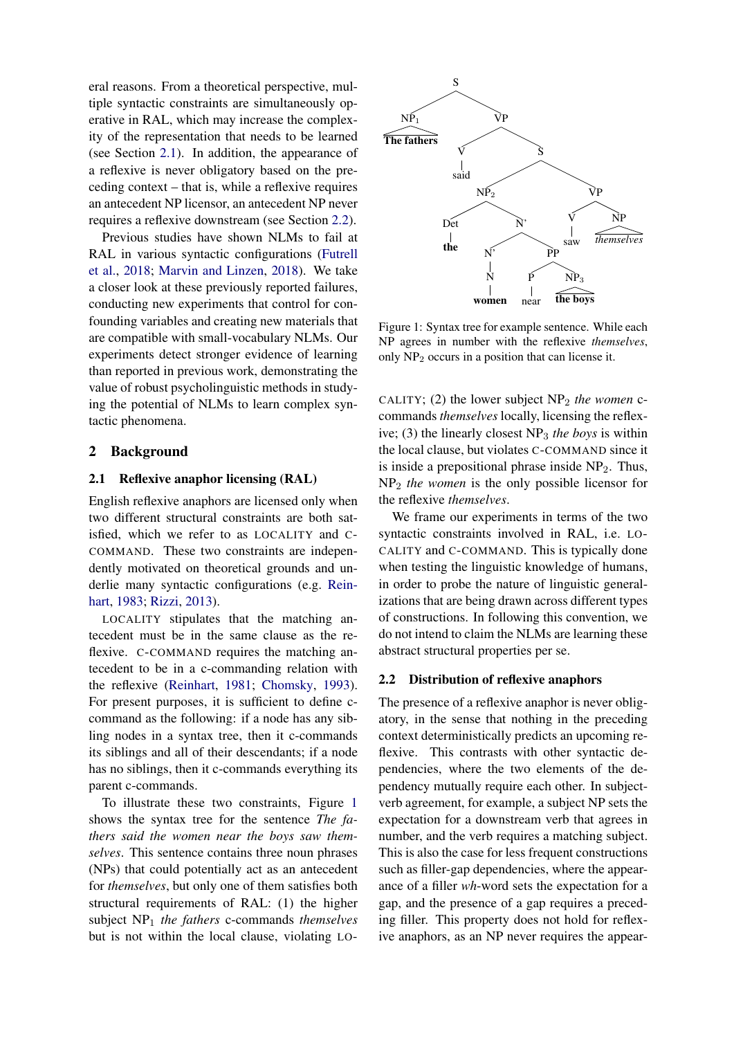eral reasons. From a theoretical perspective, multiple syntactic constraints are simultaneously operative in RAL, which may increase the complexity of the representation that needs to be learned (see Section [2.1\)](#page-1-0). In addition, the appearance of a reflexive is never obligatory based on the preceding context – that is, while a reflexive requires an antecedent NP licensor, an antecedent NP never requires a reflexive downstream (see Section [2.2\)](#page-1-1).

Previous studies have shown NLMs to fail at RAL in various syntactic configurations [\(Futrell](#page-9-2) [et al.,](#page-9-2) [2018;](#page-9-2) [Marvin and Linzen,](#page-9-4) [2018\)](#page-9-4). We take a closer look at these previously reported failures, conducting new experiments that control for confounding variables and creating new materials that are compatible with small-vocabulary NLMs. Our experiments detect stronger evidence of learning than reported in previous work, demonstrating the value of robust psycholinguistic methods in studying the potential of NLMs to learn complex syntactic phenomena.

### 2 Background

### <span id="page-1-0"></span>2.1 Reflexive anaphor licensing (RAL)

English reflexive anaphors are licensed only when two different structural constraints are both satisfied, which we refer to as LOCALITY and C-COMMAND. These two constraints are independently motivated on theoretical grounds and underlie many syntactic configurations (e.g. [Rein](#page-9-5)[hart,](#page-9-5) [1983;](#page-9-5) [Rizzi,](#page-9-6) [2013\)](#page-9-6).

LOCALITY stipulates that the matching antecedent must be in the same clause as the reflexive. C-COMMAND requires the matching antecedent to be in a c-commanding relation with the reflexive [\(Reinhart,](#page-9-7) [1981;](#page-9-7) [Chomsky,](#page-8-0) [1993\)](#page-8-0). For present purposes, it is sufficient to define ccommand as the following: if a node has any sibling nodes in a syntax tree, then it c-commands its siblings and all of their descendants; if a node has no siblings, then it c-commands everything its parent c-commands.

To illustrate these two constraints, Figure [1](#page-1-2) shows the syntax tree for the sentence *The fathers said the women near the boys saw themselves*. This sentence contains three noun phrases (NPs) that could potentially act as an antecedent for *themselves*, but only one of them satisfies both structural requirements of RAL: (1) the higher subject NP<sup>1</sup> *the fathers* c-commands *themselves* but is not within the local clause, violating LO-

<span id="page-1-2"></span>

Figure 1: Syntax tree for example sentence. While each NP agrees in number with the reflexive *themselves*, only  $NP<sub>2</sub>$  occurs in a position that can license it.

CALITY; (2) the lower subject  $NP<sub>2</sub>$  *the women* ccommands *themselves* locally, licensing the reflexive; (3) the linearly closest NP<sup>3</sup> *the boys* is within the local clause, but violates C-COMMAND since it is inside a prepositional phrase inside  $NP<sub>2</sub>$ . Thus, NP<sup>2</sup> *the women* is the only possible licensor for the reflexive *themselves*.

We frame our experiments in terms of the two syntactic constraints involved in RAL, i.e. LO-CALITY and C-COMMAND. This is typically done when testing the linguistic knowledge of humans, in order to probe the nature of linguistic generalizations that are being drawn across different types of constructions. In following this convention, we do not intend to claim the NLMs are learning these abstract structural properties per se.

### <span id="page-1-1"></span>2.2 Distribution of reflexive anaphors

The presence of a reflexive anaphor is never obligatory, in the sense that nothing in the preceding context deterministically predicts an upcoming reflexive. This contrasts with other syntactic dependencies, where the two elements of the dependency mutually require each other. In subjectverb agreement, for example, a subject NP sets the expectation for a downstream verb that agrees in number, and the verb requires a matching subject. This is also the case for less frequent constructions such as filler-gap dependencies, where the appearance of a filler *wh*-word sets the expectation for a gap, and the presence of a gap requires a preceding filler. This property does not hold for reflexive anaphors, as an NP never requires the appear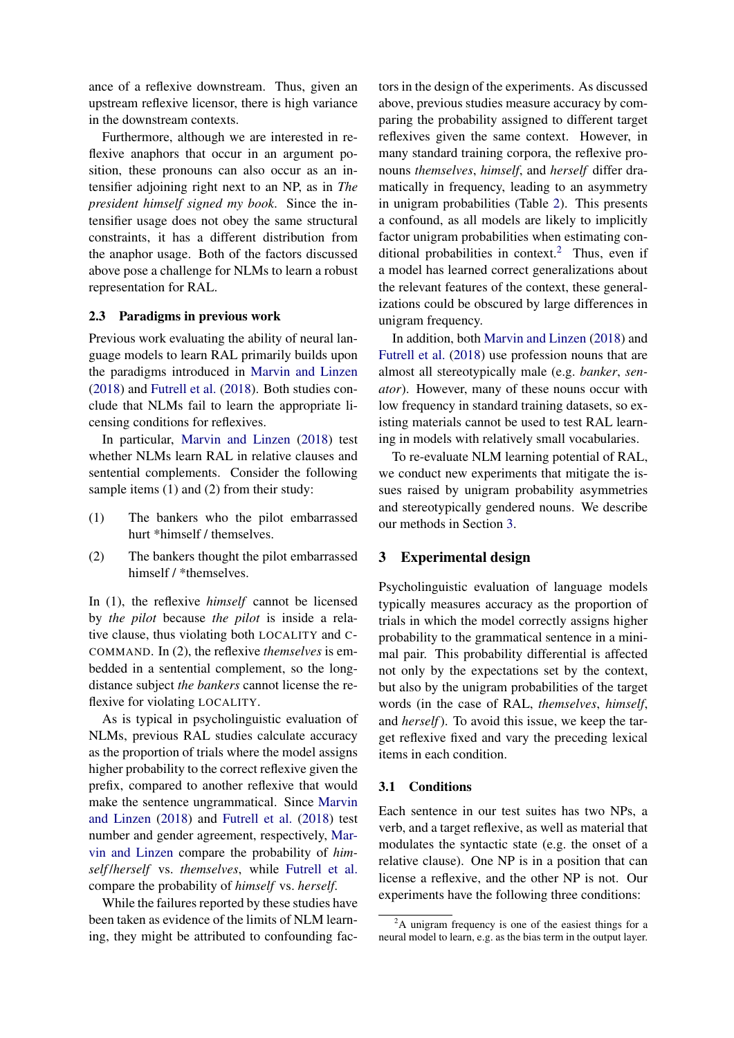ance of a reflexive downstream. Thus, given an upstream reflexive licensor, there is high variance in the downstream contexts.

Furthermore, although we are interested in reflexive anaphors that occur in an argument position, these pronouns can also occur as an intensifier adjoining right next to an NP, as in *The president himself signed my book*. Since the intensifier usage does not obey the same structural constraints, it has a different distribution from the anaphor usage. Both of the factors discussed above pose a challenge for NLMs to learn a robust representation for RAL.

### <span id="page-2-2"></span>2.3 Paradigms in previous work

Previous work evaluating the ability of neural language models to learn RAL primarily builds upon the paradigms introduced in [Marvin and Linzen](#page-9-4) [\(2018\)](#page-9-4) and [Futrell et al.](#page-9-2) [\(2018\)](#page-9-2). Both studies conclude that NLMs fail to learn the appropriate licensing conditions for reflexives.

In particular, [Marvin and Linzen](#page-9-4) [\(2018\)](#page-9-4) test whether NLMs learn RAL in relative clauses and sentential complements. Consider the following sample items (1) and (2) from their study:

- (1) The bankers who the pilot embarrassed hurt \*himself / themselves.
- (2) The bankers thought the pilot embarrassed himself / \*themselves.

In (1), the reflexive *himself* cannot be licensed by *the pilot* because *the pilot* is inside a relative clause, thus violating both LOCALITY and C-COMMAND. In (2), the reflexive *themselves* is embedded in a sentential complement, so the longdistance subject *the bankers* cannot license the reflexive for violating LOCALITY.

As is typical in psycholinguistic evaluation of NLMs, previous RAL studies calculate accuracy as the proportion of trials where the model assigns higher probability to the correct reflexive given the prefix, compared to another reflexive that would make the sentence ungrammatical. Since [Marvin](#page-9-4) [and Linzen](#page-9-4) [\(2018\)](#page-9-4) and [Futrell et al.](#page-9-2) [\(2018\)](#page-9-2) test number and gender agreement, respectively, [Mar](#page-9-4)[vin and Linzen](#page-9-4) compare the probability of *himself* /*herself* vs. *themselves*, while [Futrell et al.](#page-9-2) compare the probability of *himself* vs. *herself*.

While the failures reported by these studies have been taken as evidence of the limits of NLM learning, they might be attributed to confounding factors in the design of the experiments. As discussed above, previous studies measure accuracy by comparing the probability assigned to different target reflexives given the same context. However, in many standard training corpora, the reflexive pronouns *themselves*, *himself*, and *herself* differ dramatically in frequency, leading to an asymmetry in unigram probabilities (Table [2\)](#page-5-0). This presents a confound, as all models are likely to implicitly factor unigram probabilities when estimating con-ditional probabilities in context.<sup>[2](#page-2-0)</sup> Thus, even if a model has learned correct generalizations about the relevant features of the context, these generalizations could be obscured by large differences in unigram frequency.

In addition, both [Marvin and Linzen](#page-9-4) [\(2018\)](#page-9-4) and [Futrell et al.](#page-9-2) [\(2018\)](#page-9-2) use profession nouns that are almost all stereotypically male (e.g. *banker*, *senator*). However, many of these nouns occur with low frequency in standard training datasets, so existing materials cannot be used to test RAL learning in models with relatively small vocabularies.

To re-evaluate NLM learning potential of RAL, we conduct new experiments that mitigate the issues raised by unigram probability asymmetries and stereotypically gendered nouns. We describe our methods in Section [3.](#page-2-1)

### <span id="page-2-1"></span>3 Experimental design

Psycholinguistic evaluation of language models typically measures accuracy as the proportion of trials in which the model correctly assigns higher probability to the grammatical sentence in a minimal pair. This probability differential is affected not only by the expectations set by the context, but also by the unigram probabilities of the target words (in the case of RAL, *themselves*, *himself*, and *herself*). To avoid this issue, we keep the target reflexive fixed and vary the preceding lexical items in each condition.

### 3.1 Conditions

Each sentence in our test suites has two NPs, a verb, and a target reflexive, as well as material that modulates the syntactic state (e.g. the onset of a relative clause). One NP is in a position that can license a reflexive, and the other NP is not. Our experiments have the following three conditions:

<span id="page-2-0"></span> $2A$  unigram frequency is one of the easiest things for a neural model to learn, e.g. as the bias term in the output layer.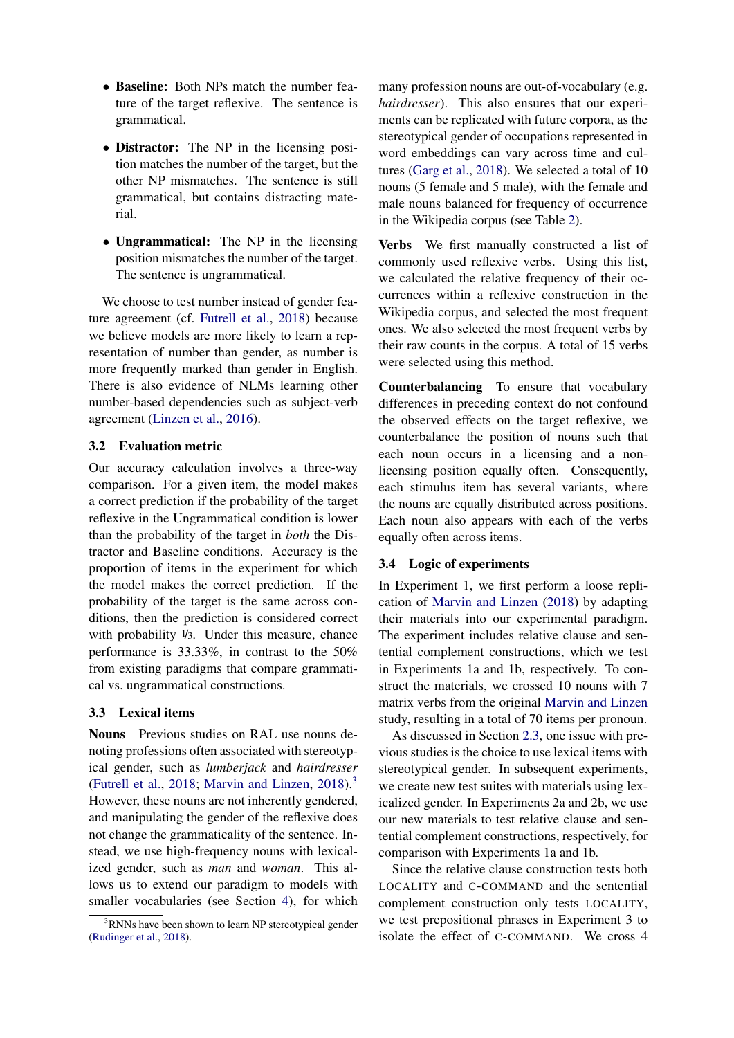- Baseline: Both NPs match the number feature of the target reflexive. The sentence is grammatical.
- Distractor: The NP in the licensing position matches the number of the target, but the other NP mismatches. The sentence is still grammatical, but contains distracting material.
- Ungrammatical: The NP in the licensing position mismatches the number of the target. The sentence is ungrammatical.

We choose to test number instead of gender feature agreement (cf. [Futrell et al.,](#page-9-2) [2018\)](#page-9-2) because we believe models are more likely to learn a representation of number than gender, as number is more frequently marked than gender in English. There is also evidence of NLMs learning other number-based dependencies such as subject-verb agreement [\(Linzen et al.,](#page-9-0) [2016\)](#page-9-0).

### <span id="page-3-1"></span>3.2 Evaluation metric

Our accuracy calculation involves a three-way comparison. For a given item, the model makes a correct prediction if the probability of the target reflexive in the Ungrammatical condition is lower than the probability of the target in *both* the Distractor and Baseline conditions. Accuracy is the proportion of items in the experiment for which the model makes the correct prediction. If the probability of the target is the same across conditions, then the prediction is considered correct with probability 1/3. Under this measure, chance performance is 33.33%, in contrast to the 50% from existing paradigms that compare grammatical vs. ungrammatical constructions.

### 3.3 Lexical items

Nouns Previous studies on RAL use nouns denoting professions often associated with stereotypical gender, such as *lumberjack* and *hairdresser* [\(Futrell et al.,](#page-9-2) [2018;](#page-9-2) [Marvin and Linzen,](#page-9-4) [2018\)](#page-9-4). $3$ However, these nouns are not inherently gendered, and manipulating the gender of the reflexive does not change the grammaticality of the sentence. Instead, we use high-frequency nouns with lexicalized gender, such as *man* and *woman*. This allows us to extend our paradigm to models with smaller vocabularies (see Section [4\)](#page-4-0), for which

many profession nouns are out-of-vocabulary (e.g. *hairdresser*). This also ensures that our experiments can be replicated with future corpora, as the stereotypical gender of occupations represented in word embeddings can vary across time and cultures [\(Garg et al.,](#page-9-9) [2018\)](#page-9-9). We selected a total of 10 nouns (5 female and 5 male), with the female and male nouns balanced for frequency of occurrence in the Wikipedia corpus (see Table [2\)](#page-5-0).

Verbs We first manually constructed a list of commonly used reflexive verbs. Using this list, we calculated the relative frequency of their occurrences within a reflexive construction in the Wikipedia corpus, and selected the most frequent ones. We also selected the most frequent verbs by their raw counts in the corpus. A total of 15 verbs were selected using this method.

Counterbalancing To ensure that vocabulary differences in preceding context do not confound the observed effects on the target reflexive, we counterbalance the position of nouns such that each noun occurs in a licensing and a nonlicensing position equally often. Consequently, each stimulus item has several variants, where the nouns are equally distributed across positions. Each noun also appears with each of the verbs equally often across items.

# 3.4 Logic of experiments

In Experiment 1, we first perform a loose replication of [Marvin and Linzen](#page-9-4) [\(2018\)](#page-9-4) by adapting their materials into our experimental paradigm. The experiment includes relative clause and sentential complement constructions, which we test in Experiments 1a and 1b, respectively. To construct the materials, we crossed 10 nouns with 7 matrix verbs from the original [Marvin and Linzen](#page-9-4) study, resulting in a total of 70 items per pronoun.

As discussed in Section [2.3,](#page-2-2) one issue with previous studies is the choice to use lexical items with stereotypical gender. In subsequent experiments, we create new test suites with materials using lexicalized gender. In Experiments 2a and 2b, we use our new materials to test relative clause and sentential complement constructions, respectively, for comparison with Experiments 1a and 1b.

Since the relative clause construction tests both LOCALITY and C-COMMAND and the sentential complement construction only tests LOCALITY, we test prepositional phrases in Experiment 3 to isolate the effect of C-COMMAND. We cross 4

<span id="page-3-0"></span><sup>&</sup>lt;sup>3</sup>RNNs have been shown to learn NP stereotypical gender [\(Rudinger et al.,](#page-9-8) [2018\)](#page-9-8).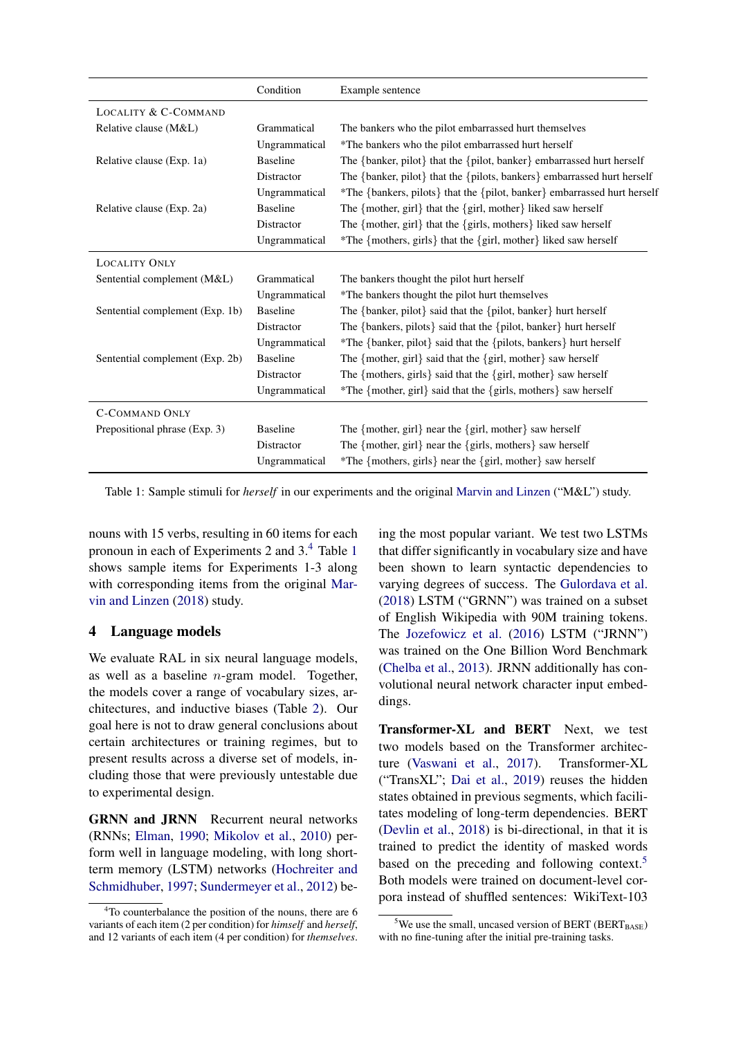<span id="page-4-2"></span>

|                                 | Condition       | Example sentence                                                         |
|---------------------------------|-----------------|--------------------------------------------------------------------------|
| <b>LOCALITY &amp; C-COMMAND</b> |                 |                                                                          |
| Relative clause (M&L)           | Grammatical     | The bankers who the pilot embarrassed hurt themselves                    |
|                                 | Ungrammatical   | *The bankers who the pilot embarrassed hurt herself                      |
| Relative clause (Exp. 1a)       | <b>Baseline</b> | The {banker, pilot} that the {pilot, banker} embarrassed hurt herself    |
|                                 | Distractor      | The {banker, pilot} that the {pilots, bankers} embarrassed hurt herself  |
|                                 | Ungrammatical   | *The {bankers, pilots} that the {pilot, banker} embarrassed hurt herself |
| Relative clause (Exp. 2a)       | <b>Baseline</b> | The ${mother, girl}$ that the ${girl, mother}$ liked saw herself         |
|                                 | Distractor      | The {mother, girl} that the {girls, mothers} liked saw herself           |
|                                 | Ungrammatical   | *The {mothers, girls} that the {girl, mother} liked saw herself          |
| <b>LOCALITY ONLY</b>            |                 |                                                                          |
| Sentential complement (M&L)     | Grammatical     | The bankers thought the pilot hurt herself                               |
|                                 | Ungrammatical   | *The bankers thought the pilot hurt themselves                           |
| Sentential complement (Exp. 1b) | <b>Baseline</b> | The {banker, pilot} said that the {pilot, banker} hurt herself           |
|                                 | Distractor      | The {bankers, pilots} said that the {pilot, banker} hurt herself         |
|                                 | Ungrammatical   | *The {banker, pilot} said that the {pilots, bankers} hurt herself        |
| Sentential complement (Exp. 2b) | <b>Baseline</b> | The ${mother, girl}$ said that the ${girl}$ , mother $}$ saw herself     |
|                                 | Distractor      | The {mothers, girls} said that the {girl, mother} saw herself            |
|                                 | Ungrammatical   | *The {mother, girl} said that the {girls, mothers} saw herself           |
| <b>C-COMMAND ONLY</b>           |                 |                                                                          |
| Prepositional phrase (Exp. 3)   | <b>Baseline</b> | The ${mother, girl}$ near the ${girl, mother}$ saw herself               |
|                                 | Distractor      | The {mother, girl} near the {girls, mothers} saw herself                 |
|                                 | Ungrammatical   | *The {mothers, girls} near the {girl, mother} saw herself                |

Table 1: Sample stimuli for *herself* in our experiments and the original [Marvin and Linzen](#page-9-4) ("M&L") study.

nouns with 15 verbs, resulting in 60 items for each pronoun in each of Experiments 2 and 3.[4](#page-4-1) Table [1](#page-4-2) shows sample items for Experiments 1-3 along with corresponding items from the original [Mar](#page-9-4)[vin and Linzen](#page-9-4) [\(2018\)](#page-9-4) study.

# <span id="page-4-0"></span>4 Language models

We evaluate RAL in six neural language models, as well as a baseline *n*-gram model. Together, the models cover a range of vocabulary sizes, architectures, and inductive biases (Table [2\)](#page-5-0). Our goal here is not to draw general conclusions about certain architectures or training regimes, but to present results across a diverse set of models, including those that were previously untestable due to experimental design.

GRNN and JRNN Recurrent neural networks (RNNs; [Elman,](#page-9-10) [1990;](#page-9-10) [Mikolov et al.,](#page-9-11) [2010\)](#page-9-11) perform well in language modeling, with long shortterm memory (LSTM) networks [\(Hochreiter and](#page-9-12) [Schmidhuber,](#page-9-12) [1997;](#page-9-12) [Sundermeyer et al.,](#page-9-13) [2012\)](#page-9-13) be-

ing the most popular variant. We test two LSTMs that differ significantly in vocabulary size and have been shown to learn syntactic dependencies to varying degrees of success. The [Gulordava et al.](#page-9-3) [\(2018\)](#page-9-3) LSTM ("GRNN") was trained on a subset of English Wikipedia with 90M training tokens. The [Jozefowicz et al.](#page-9-14) [\(2016\)](#page-9-14) LSTM ("JRNN") was trained on the One Billion Word Benchmark [\(Chelba et al.,](#page-8-1) [2013\)](#page-8-1). JRNN additionally has convolutional neural network character input embeddings.

Transformer-XL and BERT Next, we test two models based on the Transformer architecture [\(Vaswani et al.,](#page-10-2) [2017\)](#page-10-2). Transformer-XL ("TransXL"; [Dai et al.,](#page-8-2) [2019\)](#page-8-2) reuses the hidden states obtained in previous segments, which facilitates modeling of long-term dependencies. BERT [\(Devlin et al.,](#page-9-15) [2018\)](#page-9-15) is bi-directional, in that it is trained to predict the identity of masked words based on the preceding and following context.<sup>5</sup> Both models were trained on document-level corpora instead of shuffled sentences: WikiText-103

<span id="page-4-1"></span><sup>&</sup>lt;sup>4</sup>To counterbalance the position of the nouns, there are 6 variants of each item (2 per condition) for *himself* and *herself*, and 12 variants of each item (4 per condition) for *themselves*.

<span id="page-4-3"></span> $5$ We use the small, uncased version of BERT (BERT<sub>BASE</sub>) with no fine-tuning after the initial pre-training tasks.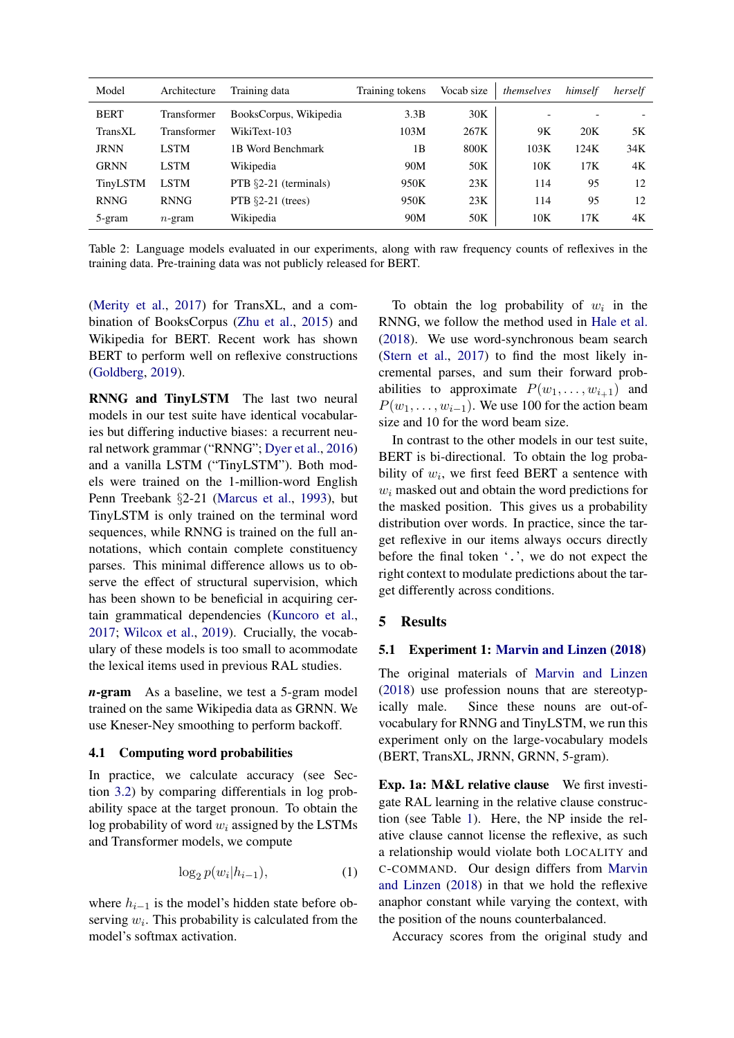<span id="page-5-0"></span>

| Model       | Architecture | Training data            | Training tokens | Vocab size | themselves               | himself | herself |
|-------------|--------------|--------------------------|-----------------|------------|--------------------------|---------|---------|
| <b>BERT</b> | Transformer  | BooksCorpus, Wikipedia   | 3.3B            | 30K        | $\overline{\phantom{0}}$ |         |         |
| TransXL     | Transformer  | WikiText-103             | 103M            | 267K       | 9Κ                       | 20K     | 5Κ      |
| <b>JRNN</b> | <b>LSTM</b>  | 1B Word Benchmark        | 1B              | 800K       | 103K                     | 124K    | 34K     |
| <b>GRNN</b> | <b>LSTM</b>  | Wikipedia                | 90M             | 50K        | 10K                      | 17K     | 4Κ      |
| TinyLSTM    | <b>LSTM</b>  | PTB $\S2-21$ (terminals) | 950K            | 23K        | 114                      | 95      | 12      |
| <b>RNNG</b> | <b>RNNG</b>  | PTB $\S2-21$ (trees)     | 950K            | 23K        | 114                      | 95      | 12      |
| 5-gram      | $n$ -gram    | Wikipedia                | 90M             | 50K        | 10K                      | 17K     | 4Κ      |

Table 2: Language models evaluated in our experiments, along with raw frequency counts of reflexives in the training data. Pre-training data was not publicly released for BERT.

[\(Merity et al.,](#page-9-16) [2017\)](#page-9-16) for TransXL, and a combination of BooksCorpus [\(Zhu et al.,](#page-10-3) [2015\)](#page-10-3) and Wikipedia for BERT. Recent work has shown BERT to perform well on reflexive constructions [\(Goldberg,](#page-9-17) [2019\)](#page-9-17).

RNNG and TinyLSTM The last two neural models in our test suite have identical vocabularies but differing inductive biases: a recurrent neural network grammar ("RNNG"; [Dyer et al.,](#page-9-18) [2016\)](#page-9-18) and a vanilla LSTM ("TinyLSTM"). Both models were trained on the 1-million-word English Penn Treebank *§*2-21 [\(Marcus et al.,](#page-9-19) [1993\)](#page-9-19), but TinyLSTM is only trained on the terminal word sequences, while RNNG is trained on the full annotations, which contain complete constituency parses. This minimal difference allows us to observe the effect of structural supervision, which has been shown to be beneficial in acquiring certain grammatical dependencies [\(Kuncoro et al.,](#page-9-20) [2017;](#page-9-20) [Wilcox et al.,](#page-10-4) [2019\)](#page-10-4). Crucially, the vocabulary of these models is too small to acommodate the lexical items used in previous RAL studies.

*n*-gram As a baseline, we test a 5-gram model trained on the same Wikipedia data as GRNN. We use Kneser-Ney smoothing to perform backoff.

### 4.1 Computing word probabilities

In practice, we calculate accuracy (see Section [3.2\)](#page-3-1) by comparing differentials in log probability space at the target pronoun. To obtain the log probability of word *w<sup>i</sup>* assigned by the LSTMs and Transformer models, we compute

$$
\log_2 p(w_i|h_{i-1}),\tag{1}
$$

where  $h_{i-1}$  is the model's hidden state before observing  $w_i$ . This probability is calculated from the model's softmax activation.

To obtain the log probability of  $w_i$  in the RNNG, we follow the method used in [Hale et al.](#page-9-21) [\(2018\)](#page-9-21). We use word-synchronous beam search [\(Stern et al.,](#page-9-22) [2017\)](#page-9-22) to find the most likely incremental parses, and sum their forward probabilities to approximate  $P(w_1, \ldots, w_{i+1})$  and  $P(w_1, \ldots, w_{i-1})$ . We use 100 for the action beam size and 10 for the word beam size.

In contrast to the other models in our test suite, BERT is bi-directional. To obtain the log probability of *wi*, we first feed BERT a sentence with *w<sup>i</sup>* masked out and obtain the word predictions for the masked position. This gives us a probability distribution over words. In practice, since the target reflexive in our items always occurs directly before the final token '.', we do not expect the right context to modulate predictions about the target differently across conditions.

# 5 Results

# 5.1 Experiment 1: [Marvin and Linzen](#page-9-4) [\(2018\)](#page-9-4)

The original materials of [Marvin and Linzen](#page-9-4) [\(2018\)](#page-9-4) use profession nouns that are stereotypically male. Since these nouns are out-ofvocabulary for RNNG and TinyLSTM, we run this experiment only on the large-vocabulary models (BERT, TransXL, JRNN, GRNN, 5-gram).

Exp. 1a: M&L relative clause We first investigate RAL learning in the relative clause construction (see Table [1\)](#page-4-2). Here, the NP inside the relative clause cannot license the reflexive, as such a relationship would violate both LOCALITY and C-COMMAND. Our design differs from [Marvin](#page-9-4) [and Linzen](#page-9-4) [\(2018\)](#page-9-4) in that we hold the reflexive anaphor constant while varying the context, with the position of the nouns counterbalanced.

Accuracy scores from the original study and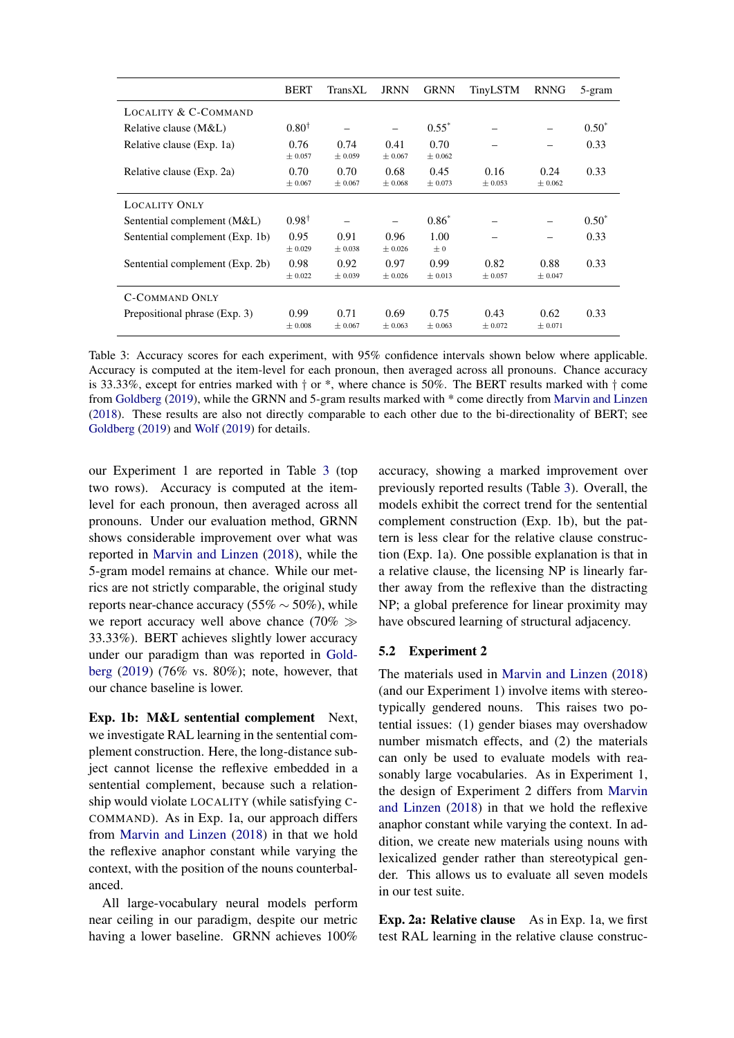<span id="page-6-0"></span>

|                                 | <b>BERT</b>      | TransXL         | <b>JRNN</b>     | <b>GRNN</b>     | TinyLSTM        | <b>RNNG</b>     | 5-gram  |
|---------------------------------|------------------|-----------------|-----------------|-----------------|-----------------|-----------------|---------|
| LOCALITY & C-COMMAND            |                  |                 |                 |                 |                 |                 |         |
| Relative clause (M&L)           | $0.80^{\dagger}$ |                 |                 | $0.55^*$        |                 |                 | $0.50*$ |
| Relative clause (Exp. 1a)       | 0.76<br>± 0.057  | 0.74<br>± 0.059 | 0.41<br>± 0.067 | 0.70<br>± 0.062 |                 |                 | 0.33    |
| Relative clause (Exp. 2a)       | 0.70<br>± 0.067  | 0.70<br>± 0.067 | 0.68<br>± 0.068 | 0.45<br>± 0.073 | 0.16<br>± 0.053 | 0.24<br>± 0.062 | 0.33    |
| <b>LOCALITY ONLY</b>            |                  |                 |                 |                 |                 |                 |         |
| Sentential complement (M&L)     | $0.98^{\dagger}$ |                 |                 | $0.86*$         |                 |                 | $0.50*$ |
| Sentential complement (Exp. 1b) | 0.95<br>± 0.029  | 0.91<br>± 0.038 | 0.96<br>± 0.026 | 1.00<br>$\pm 0$ |                 |                 | 0.33    |
| Sentential complement (Exp. 2b) | 0.98<br>± 0.022  | 0.92<br>± 0.039 | 0.97<br>± 0.026 | 0.99<br>± 0.013 | 0.82<br>± 0.057 | 0.88<br>± 0.047 | 0.33    |
| <b>C-COMMAND ONLY</b>           |                  |                 |                 |                 |                 |                 |         |
| Prepositional phrase (Exp. 3)   | 0.99<br>± 0.008  | 0.71<br>± 0.067 | 0.69<br>± 0.063 | 0.75<br>± 0.063 | 0.43<br>± 0.072 | 0.62<br>± 0.071 | 0.33    |

Table 3: Accuracy scores for each experiment, with 95% confidence intervals shown below where applicable. Accuracy is computed at the item-level for each pronoun, then averaged across all pronouns. Chance accuracy is 33.33%, except for entries marked with *†* or \*, where chance is 50%. The BERT results marked with *†* come from [Goldberg](#page-9-17) [\(2019\)](#page-9-17), while the GRNN and 5-gram results marked with \* come directly from [Marvin and Linzen](#page-9-4) [\(2018\)](#page-9-4). These results are also not directly comparable to each other due to the bi-directionality of BERT; see [Goldberg](#page-9-17) [\(2019\)](#page-9-17) and [Wolf](#page-10-5) [\(2019\)](#page-10-5) for details.

our Experiment 1 are reported in Table [3](#page-6-0) (top two rows). Accuracy is computed at the itemlevel for each pronoun, then averaged across all pronouns. Under our evaluation method, GRNN shows considerable improvement over what was reported in [Marvin and Linzen](#page-9-4) [\(2018\)](#page-9-4), while the 5-gram model remains at chance. While our metrics are not strictly comparable, the original study reports near-chance accuracy (55%  $\sim$  50%), while we report accuracy well above chance (70%  $\gg$ 33.33%). BERT achieves slightly lower accuracy under our paradigm than was reported in [Gold](#page-9-17)[berg](#page-9-17) [\(2019\)](#page-9-17) (76% vs. 80%); note, however, that our chance baseline is lower.

Exp. 1b: M&L sentential complement Next, we investigate RAL learning in the sentential complement construction. Here, the long-distance subject cannot license the reflexive embedded in a sentential complement, because such a relationship would violate LOCALITY (while satisfying C-COMMAND). As in Exp. 1a, our approach differs from [Marvin and Linzen](#page-9-4) [\(2018\)](#page-9-4) in that we hold the reflexive anaphor constant while varying the context, with the position of the nouns counterbalanced.

All large-vocabulary neural models perform near ceiling in our paradigm, despite our metric having a lower baseline. GRNN achieves 100%

accuracy, showing a marked improvement over previously reported results (Table [3\)](#page-6-0). Overall, the models exhibit the correct trend for the sentential complement construction (Exp. 1b), but the pattern is less clear for the relative clause construction (Exp. 1a). One possible explanation is that in a relative clause, the licensing NP is linearly farther away from the reflexive than the distracting NP; a global preference for linear proximity may have obscured learning of structural adjacency.

### 5.2 Experiment 2

The materials used in [Marvin and Linzen](#page-9-4) [\(2018\)](#page-9-4) (and our Experiment 1) involve items with stereotypically gendered nouns. This raises two potential issues: (1) gender biases may overshadow number mismatch effects, and (2) the materials can only be used to evaluate models with reasonably large vocabularies. As in Experiment 1, the design of Experiment 2 differs from [Marvin](#page-9-4) [and Linzen](#page-9-4) [\(2018\)](#page-9-4) in that we hold the reflexive anaphor constant while varying the context. In addition, we create new materials using nouns with lexicalized gender rather than stereotypical gender. This allows us to evaluate all seven models in our test suite.

Exp. 2a: Relative clause As in Exp. 1a, we first test RAL learning in the relative clause construc-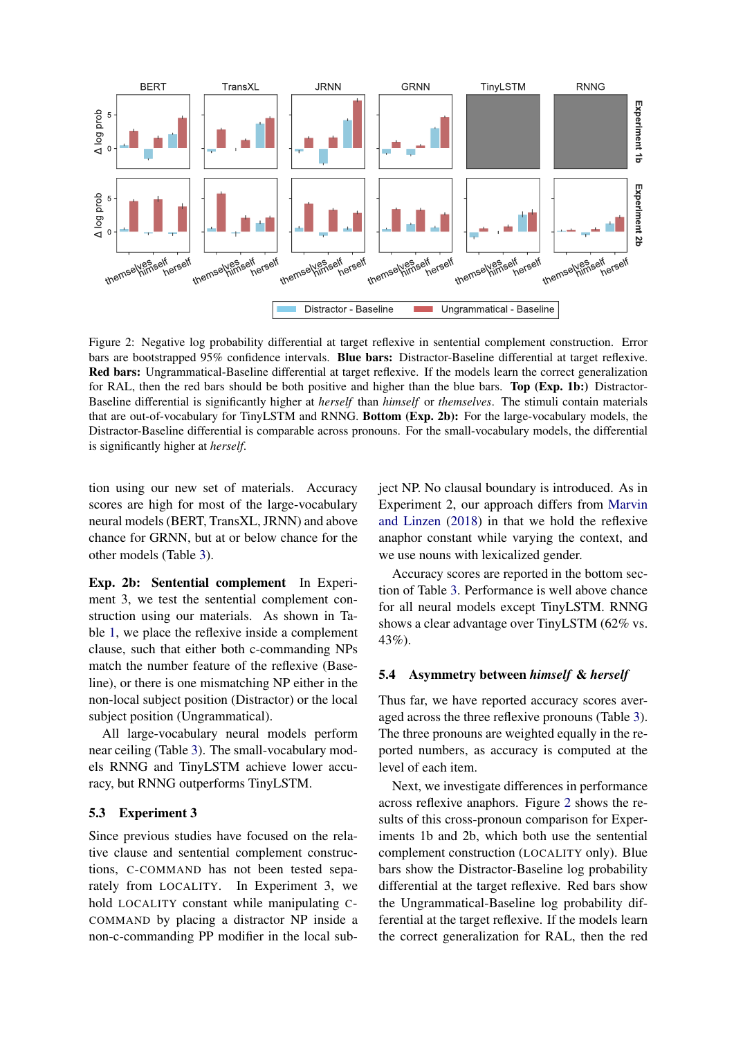<span id="page-7-0"></span>

Figure 2: Negative log probability differential at target reflexive in sentential complement construction. Error bars are bootstrapped 95% confidence intervals. Blue bars: Distractor-Baseline differential at target reflexive. Red bars: Ungrammatical-Baseline differential at target reflexive. If the models learn the correct generalization for RAL, then the red bars should be both positive and higher than the blue bars. Top (Exp. 1b:) Distractor-Baseline differential is significantly higher at *herself* than *himself* or *themselves*. The stimuli contain materials that are out-of-vocabulary for TinyLSTM and RNNG. Bottom (Exp. 2b): For the large-vocabulary models, the Distractor-Baseline differential is comparable across pronouns. For the small-vocabulary models, the differential is significantly higher at *herself*.

tion using our new set of materials. Accuracy scores are high for most of the large-vocabulary neural models (BERT, TransXL, JRNN) and above chance for GRNN, but at or below chance for the other models (Table [3\)](#page-6-0).

Exp. 2b: Sentential complement In Experiment 3, we test the sentential complement construction using our materials. As shown in Table [1,](#page-4-2) we place the reflexive inside a complement clause, such that either both c-commanding NPs match the number feature of the reflexive (Baseline), or there is one mismatching NP either in the non-local subject position (Distractor) or the local subject position (Ungrammatical).

All large-vocabulary neural models perform near ceiling (Table [3\)](#page-6-0). The small-vocabulary models RNNG and TinyLSTM achieve lower accuracy, but RNNG outperforms TinyLSTM.

#### 5.3 Experiment 3

Since previous studies have focused on the relative clause and sentential complement constructions, C-COMMAND has not been tested separately from LOCALITY. In Experiment 3, we hold LOCALITY constant while manipulating C-COMMAND by placing a distractor NP inside a non-c-commanding PP modifier in the local subject NP. No clausal boundary is introduced. As in Experiment 2, our approach differs from [Marvin](#page-9-4) [and Linzen](#page-9-4) [\(2018\)](#page-9-4) in that we hold the reflexive anaphor constant while varying the context, and we use nouns with lexicalized gender.

Accuracy scores are reported in the bottom section of Table [3.](#page-6-0) Performance is well above chance for all neural models except TinyLSTM. RNNG shows a clear advantage over TinyLSTM (62% vs. 43%).

### 5.4 Asymmetry between *himself* & *herself*

Thus far, we have reported accuracy scores averaged across the three reflexive pronouns (Table [3\)](#page-6-0). The three pronouns are weighted equally in the reported numbers, as accuracy is computed at the level of each item.

Next, we investigate differences in performance across reflexive anaphors. Figure [2](#page-7-0) shows the results of this cross-pronoun comparison for Experiments 1b and 2b, which both use the sentential complement construction (LOCALITY only). Blue bars show the Distractor-Baseline log probability differential at the target reflexive. Red bars show the Ungrammatical-Baseline log probability differential at the target reflexive. If the models learn the correct generalization for RAL, then the red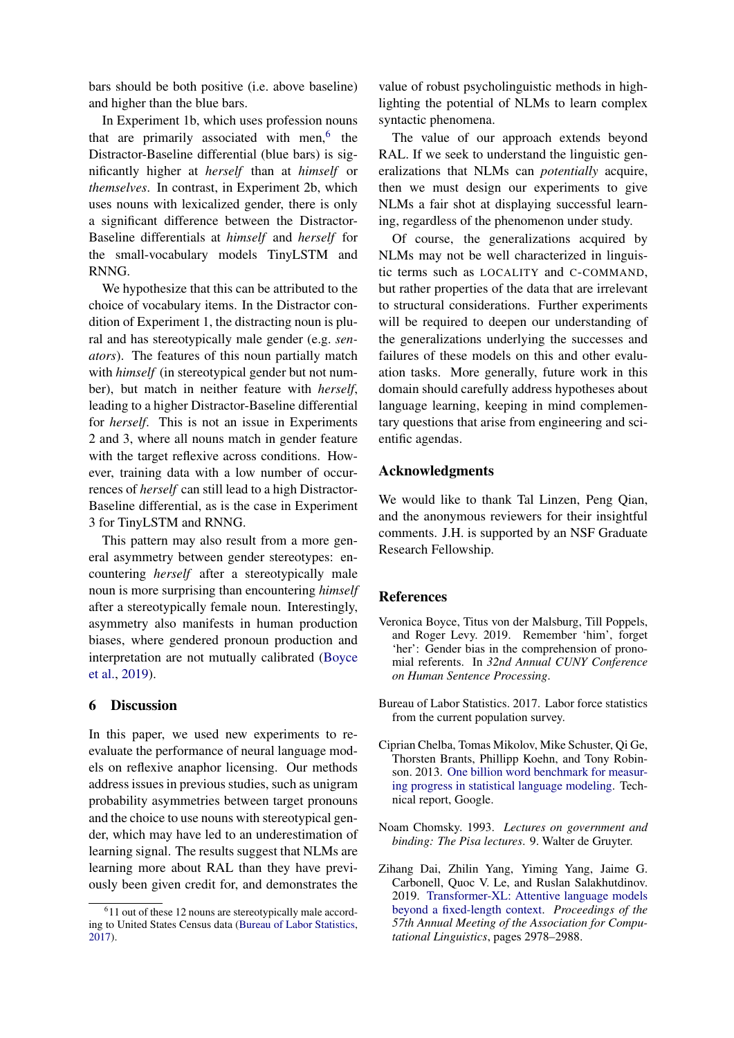bars should be both positive (i.e. above baseline) and higher than the blue bars.

In Experiment 1b, which uses profession nouns that are primarily associated with men, $<sup>6</sup>$  the</sup> Distractor-Baseline differential (blue bars) is significantly higher at *herself* than at *himself* or *themselves*. In contrast, in Experiment 2b, which uses nouns with lexicalized gender, there is only a significant difference between the Distractor-Baseline differentials at *himself* and *herself* for the small-vocabulary models TinyLSTM and RNNG.

We hypothesize that this can be attributed to the choice of vocabulary items. In the Distractor condition of Experiment 1, the distracting noun is plural and has stereotypically male gender (e.g. *senators*). The features of this noun partially match with *himself* (in stereotypical gender but not number), but match in neither feature with *herself*, leading to a higher Distractor-Baseline differential for *herself*. This is not an issue in Experiments 2 and 3, where all nouns match in gender feature with the target reflexive across conditions. However, training data with a low number of occurrences of *herself* can still lead to a high Distractor-Baseline differential, as is the case in Experiment 3 for TinyLSTM and RNNG.

This pattern may also result from a more general asymmetry between gender stereotypes: encountering *herself* after a stereotypically male noun is more surprising than encountering *himself* after a stereotypically female noun. Interestingly, asymmetry also manifests in human production biases, where gendered pronoun production and interpretation are not mutually calibrated [\(Boyce](#page-8-4) [et al.,](#page-8-4) [2019\)](#page-8-4).

### 6 Discussion

In this paper, we used new experiments to reevaluate the performance of neural language models on reflexive anaphor licensing. Our methods address issues in previous studies, such as unigram probability asymmetries between target pronouns and the choice to use nouns with stereotypical gender, which may have led to an underestimation of learning signal. The results suggest that NLMs are learning more about RAL than they have previously been given credit for, and demonstrates the value of robust psycholinguistic methods in highlighting the potential of NLMs to learn complex syntactic phenomena.

The value of our approach extends beyond RAL. If we seek to understand the linguistic generalizations that NLMs can *potentially* acquire, then we must design our experiments to give NLMs a fair shot at displaying successful learning, regardless of the phenomenon under study.

Of course, the generalizations acquired by NLMs may not be well characterized in linguistic terms such as LOCALITY and C-COMMAND, but rather properties of the data that are irrelevant to structural considerations. Further experiments will be required to deepen our understanding of the generalizations underlying the successes and failures of these models on this and other evaluation tasks. More generally, future work in this domain should carefully address hypotheses about language learning, keeping in mind complementary questions that arise from engineering and scientific agendas.

### Acknowledgments

We would like to thank Tal Linzen, Peng Qian, and the anonymous reviewers for their insightful comments. J.H. is supported by an NSF Graduate Research Fellowship.

### References

- <span id="page-8-4"></span>Veronica Boyce, Titus von der Malsburg, Till Poppels, and Roger Levy. 2019. Remember 'him', forget 'her': Gender bias in the comprehension of pronomial referents. In *32nd Annual CUNY Conference on Human Sentence Processing*.
- <span id="page-8-5"></span>Bureau of Labor Statistics. 2017. Labor force statistics from the current population survey.
- <span id="page-8-1"></span>Ciprian Chelba, Tomas Mikolov, Mike Schuster, Qi Ge, Thorsten Brants, Phillipp Koehn, and Tony Robinson. 2013. [One billion word benchmark for measur](http://arxiv.org/abs/1312.3005)[ing progress in statistical language modeling.](http://arxiv.org/abs/1312.3005) Technical report, Google.
- <span id="page-8-0"></span>Noam Chomsky. 1993. *Lectures on government and binding: The Pisa lectures*. 9. Walter de Gruyter.
- <span id="page-8-2"></span>Zihang Dai, Zhilin Yang, Yiming Yang, Jaime G. Carbonell, Quoc V. Le, and Ruslan Salakhutdinov. 2019. [Transformer-XL: Attentive language models](https://www.aclweb.org/anthology/P19-1285) [beyond a fixed-length context.](https://www.aclweb.org/anthology/P19-1285) *Proceedings of the 57th Annual Meeting of the Association for Computational Linguistics*, pages 2978–2988.

<span id="page-8-3"></span><sup>&</sup>lt;sup>6</sup>11 out of these 12 nouns are stereotypically male according to United States Census data [\(Bureau of Labor Statistics,](#page-8-5) [2017\)](#page-8-5).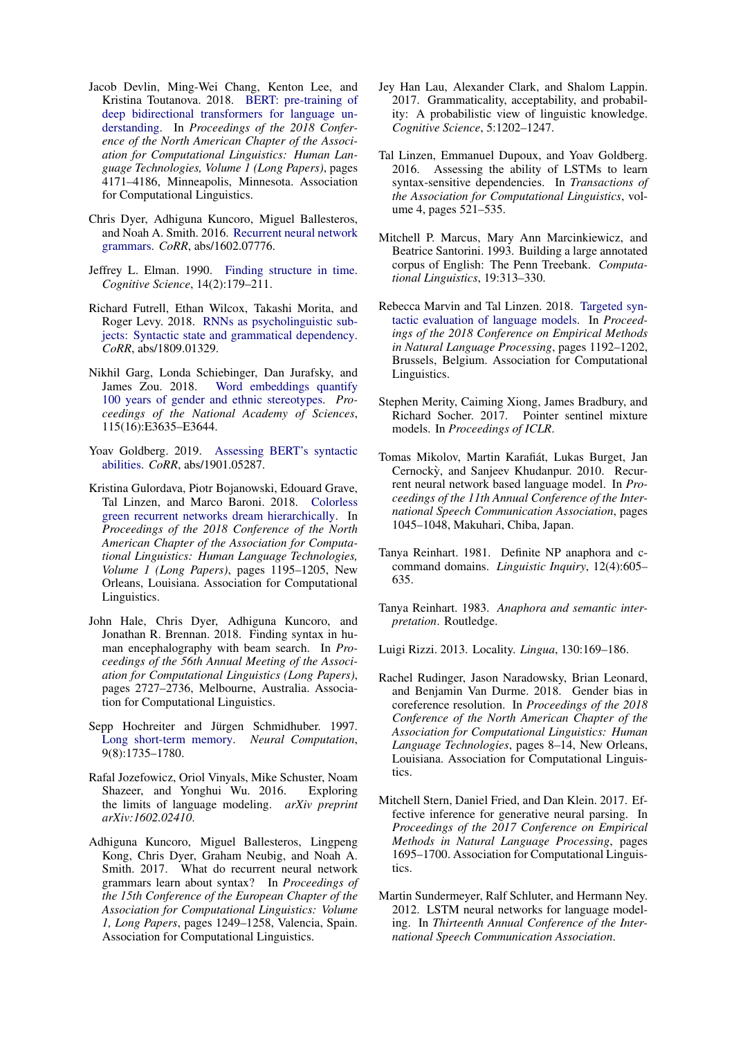- <span id="page-9-15"></span>Jacob Devlin, Ming-Wei Chang, Kenton Lee, and Kristina Toutanova. 2018. [BERT: pre-training of](https://www.aclweb.org/anthology/N19-1423) [deep bidirectional transformers for language un](https://www.aclweb.org/anthology/N19-1423)[derstanding.](https://www.aclweb.org/anthology/N19-1423) In *Proceedings of the 2018 Conference of the North American Chapter of the Association for Computational Linguistics: Human Language Technologies, Volume 1 (Long Papers)*, pages 4171–4186, Minneapolis, Minnesota. Association for Computational Linguistics.
- <span id="page-9-18"></span>Chris Dyer, Adhiguna Kuncoro, Miguel Ballesteros, and Noah A. Smith. 2016. [Recurrent neural network](http://arxiv.org/abs/1602.07776) [grammars.](http://arxiv.org/abs/1602.07776) *CoRR*, abs/1602.07776.
- <span id="page-9-10"></span>Jeffrey L. Elman. 1990. [Finding structure in time.](https://doi.org/10.1207/s15516709cog1402_1) *Cognitive Science*, 14(2):179–211.
- <span id="page-9-2"></span>Richard Futrell, Ethan Wilcox, Takashi Morita, and Roger Levy. 2018. [RNNs as psycholinguistic sub](http://arxiv.org/abs/1809.01329)[jects: Syntactic state and grammatical dependency.](http://arxiv.org/abs/1809.01329) *CoRR*, abs/1809.01329.
- <span id="page-9-9"></span>Nikhil Garg, Londa Schiebinger, Dan Jurafsky, and James Zou. 2018. [Word embeddings quantify](https://doi.org/10.1073/pnas.1720347115) [100 years of gender and ethnic stereotypes.](https://doi.org/10.1073/pnas.1720347115) *Proceedings of the National Academy of Sciences*, 115(16):E3635–E3644.
- <span id="page-9-17"></span>Yoav Goldberg. 2019. [Assessing BERT's syntactic](http://arxiv.org/abs/1901.05287) [abilities.](http://arxiv.org/abs/1901.05287) *CoRR*, abs/1901.05287.
- <span id="page-9-3"></span>Kristina Gulordava, Piotr Bojanowski, Edouard Grave, Tal Linzen, and Marco Baroni. 2018. [Colorless](https://doi.org/10.18653/v1/N18-1108) [green recurrent networks dream hierarchically.](https://doi.org/10.18653/v1/N18-1108) In *Proceedings of the 2018 Conference of the North American Chapter of the Association for Computational Linguistics: Human Language Technologies, Volume 1 (Long Papers)*, pages 1195–1205, New Orleans, Louisiana. Association for Computational Linguistics.
- <span id="page-9-21"></span>John Hale, Chris Dyer, Adhiguna Kuncoro, and Jonathan R. Brennan. 2018. Finding syntax in human encephalography with beam search. In *Proceedings of the 56th Annual Meeting of the Association for Computational Linguistics (Long Papers)*, pages 2727–2736, Melbourne, Australia. Association for Computational Linguistics.
- <span id="page-9-12"></span>Sepp Hochreiter and Jürgen Schmidhuber. 1997. [Long short-term memory.](https://doi.org/10.1162/neco.1997.9.8.1735) *Neural Computation*, 9(8):1735–1780.
- <span id="page-9-14"></span>Rafal Jozefowicz, Oriol Vinyals, Mike Schuster, Noam Shazeer, and Yonghui Wu. 2016. Exploring the limits of language modeling. *arXiv preprint arXiv:1602.02410*.
- <span id="page-9-20"></span>Adhiguna Kuncoro, Miguel Ballesteros, Lingpeng Kong, Chris Dyer, Graham Neubig, and Noah A. Smith. 2017. What do recurrent neural network grammars learn about syntax? In *Proceedings of the 15th Conference of the European Chapter of the Association for Computational Linguistics: Volume 1, Long Papers*, pages 1249–1258, Valencia, Spain. Association for Computational Linguistics.
- <span id="page-9-1"></span>Jey Han Lau, Alexander Clark, and Shalom Lappin. 2017. Grammaticality, acceptability, and probability: A probabilistic view of linguistic knowledge. *Cognitive Science*, 5:1202–1247.
- <span id="page-9-0"></span>Tal Linzen, Emmanuel Dupoux, and Yoav Goldberg. 2016. Assessing the ability of LSTMs to learn syntax-sensitive dependencies. In *Transactions of the Association for Computational Linguistics*, volume 4, pages 521–535.
- <span id="page-9-19"></span>Mitchell P. Marcus, Mary Ann Marcinkiewicz, and Beatrice Santorini. 1993. Building a large annotated corpus of English: The Penn Treebank. *Computational Linguistics*, 19:313–330.
- <span id="page-9-4"></span>Rebecca Marvin and Tal Linzen. 2018. [Targeted syn](http://tallinzen.net/media/papers/marvin_linzen_2018_emnlp.pdf)[tactic evaluation of language models.](http://tallinzen.net/media/papers/marvin_linzen_2018_emnlp.pdf) In *Proceedings of the 2018 Conference on Empirical Methods in Natural Language Processing*, pages 1192–1202, Brussels, Belgium. Association for Computational Linguistics.
- <span id="page-9-16"></span>Stephen Merity, Caiming Xiong, James Bradbury, and Richard Socher. 2017. Pointer sentinel mixture models. In *Proceedings of ICLR*.
- <span id="page-9-11"></span>Tomas Mikolov, Martin Karafiát, Lukas Burget, Jan Cernockỳ, and Sanjeev Khudanpur. 2010. Recurrent neural network based language model. In *Proceedings of the 11th Annual Conference of the International Speech Communication Association*, pages 1045–1048, Makuhari, Chiba, Japan.
- <span id="page-9-7"></span>Tanya Reinhart. 1981. Definite NP anaphora and ccommand domains. *Linguistic Inquiry*, 12(4):605– 635.
- <span id="page-9-5"></span>Tanya Reinhart. 1983. *Anaphora and semantic interpretation*. Routledge.

<span id="page-9-6"></span>Luigi Rizzi. 2013. Locality. *Lingua*, 130:169–186.

- <span id="page-9-8"></span>Rachel Rudinger, Jason Naradowsky, Brian Leonard, and Benjamin Van Durme. 2018. Gender bias in coreference resolution. In *Proceedings of the 2018 Conference of the North American Chapter of the Association for Computational Linguistics: Human Language Technologies*, pages 8–14, New Orleans, Louisiana. Association for Computational Linguistics.
- <span id="page-9-22"></span>Mitchell Stern, Daniel Fried, and Dan Klein. 2017. Effective inference for generative neural parsing. In *Proceedings of the 2017 Conference on Empirical Methods in Natural Language Processing*, pages 1695–1700. Association for Computational Linguistics.
- <span id="page-9-13"></span>Martin Sundermeyer, Ralf Schluter, and Hermann Ney. 2012. LSTM neural networks for language modeling. In *Thirteenth Annual Conference of the International Speech Communication Association*.